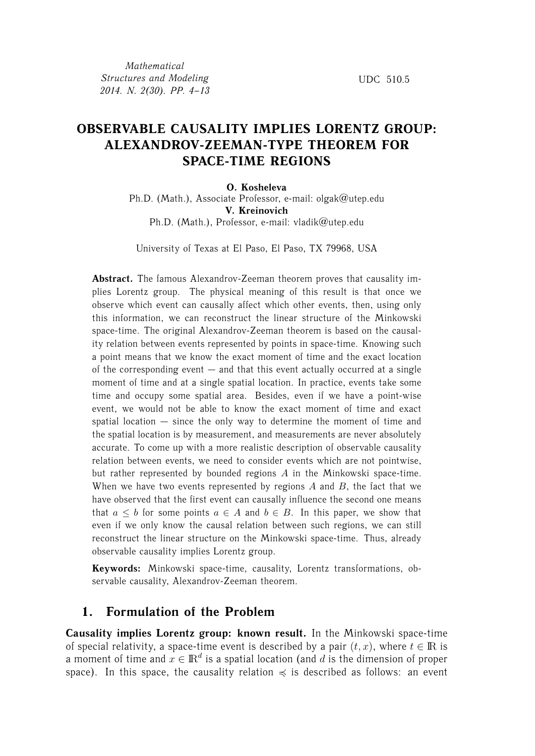*Mathematical Structures and Modeling 2014. N. 2(30). PP. 4–13*

# **OBSERVABLE CAUSALITY IMPLIES LORENTZ GROUP: ALEXANDROV-ZEEMAN-TYPE THEOREM FOR SPACE-TIME REGIONS**

#### **O. Kosheleva**

Ph.D. (Math.), Associate Professor, e-mail: olgak@utep.edu **V. Kreinovich** Ph.D. (Math.), Professor, e-mail: vladik@utep.edu

University of Texas at El Paso, El Paso, TX 79968, USA

**Abstract.** The famous Alexandrov-Zeeman theorem proves that causality implies Lorentz group. The physical meaning of this result is that once we observe which event can causally affect which other events, then, using only this information, we can reconstruct the linear structure of the Minkowski space-time. The original Alexandrov-Zeeman theorem is based on the causality relation between events represented by points in space-time. Knowing such a point means that we know the exact moment of time and the exact location of the corresponding event  $-$  and that this event actually occurred at a single moment of time and at a single spatial location. In practice, events take some time and occupy some spatial area. Besides, even if we have a point-wise event, we would not be able to know the exact moment of time and exact spatial location — since the only way to determine the moment of time and the spatial location is by measurement, and measurements are never absolutely accurate. To come up with a more realistic description of observable causality relation between events, we need to consider events which are not pointwise, but rather represented by bounded regions  $A$  in the Minkowski space-time. When we have two events represented by regions  $A$  and  $B$ , the fact that we have observed that the first event can causally influence the second one means that  $a \leq b$  for some points  $a \in A$  and  $b \in B$ . In this paper, we show that even if we only know the causal relation between such regions, we can still reconstruct the linear structure on the Minkowski space-time. Thus, already observable causality implies Lorentz group.

**Keywords:** Minkowski space-time, causality, Lorentz transformations, observable causality, Alexandrov-Zeeman theorem.

## **1. Formulation of the Problem**

**Causality implies Lorentz group: known result.** In the Minkowski space-time of special relativity, a space-time event is described by a pair  $(t, x)$ , where  $t \in \mathbb{R}$  is a moment of time and  $x \in \mathbb{R}^d$  is a spatial location (and  $d$  is the dimension of proper space). In this space, the causality relation  $\preccurlyeq$  is described as follows: an event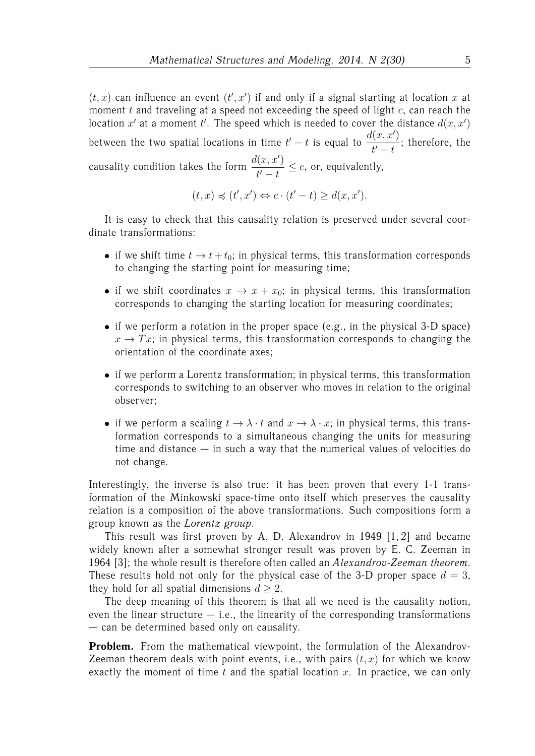$(t, x)$  can influence an event  $(t', x')$  if and only if a signal starting at location x at moment  $t$  and traveling at a speed not exceeding the speed of light  $c$ , can reach the location x' at a moment t'. The speed which is needed to cover the distance  $d(x, x')$ between the two spatial locations in time  $t'-t$  is equal to  $\frac{d(x,x')}{dt}$  $\frac{(\omega, \omega)}{t'-t}$ ; therefore, the causality condition takes the form  $\frac{d(x, x')}{dt}$  $\frac{f(x, y)}{t'-t} \leq c$ , or, equivalently,

$$
(t, x) \preccurlyeq (t', x') \Leftrightarrow c \cdot (t' - t) \ge d(x, x').
$$

It is easy to check that this causality relation is preserved under several coordinate transformations:

- if we shift time  $t \to t+t_0$ ; in physical terms, this transformation corresponds to changing the starting point for measuring time;
- if we shift coordinates  $x \to x + x_0$ ; in physical terms, this transformation corresponds to changing the starting location for measuring coordinates;
- if we perform a rotation in the proper space (e.g., in the physical 3-D space)  $x \to Tx$ ; in physical terms, this transformation corresponds to changing the orientation of the coordinate axes;
- if we perform a Lorentz transformation; in physical terms, this transformation corresponds to switching to an observer who moves in relation to the original observer;
- if we perform a scaling  $t \to \lambda \cdot t$  and  $x \to \lambda \cdot x$ ; in physical terms, this transformation corresponds to a simultaneous changing the units for measuring time and distance — in such a way that the numerical values of velocities do not change.

Interestingly, the inverse is also true: it has been proven that every 1-1 transformation of the Minkowski space-time onto itself which preserves the causality relation is a composition of the above transformations. Such compositions form a group known as the *Lorentz group*.

This result was first proven by A. D. Alexandrov in 1949 [1, 2] and became widely known after a somewhat stronger result was proven by E. C. Zeeman in 1964 [3]; the whole result is therefore often called an *Alexandrov-Zeeman theorem*. These results hold not only for the physical case of the 3-D proper space  $d = 3$ , they hold for all spatial dimensions  $d > 2$ .

The deep meaning of this theorem is that all we need is the causality notion, even the linear structure  $-$  i.e., the linearity of the corresponding transformations — can be determined based only on causality.

**Problem.** From the mathematical viewpoint, the formulation of the Alexandrov-Zeeman theorem deals with point events, i.e., with pairs  $(t, x)$  for which we know exactly the moment of time  $t$  and the spatial location  $x$ . In practice, we can only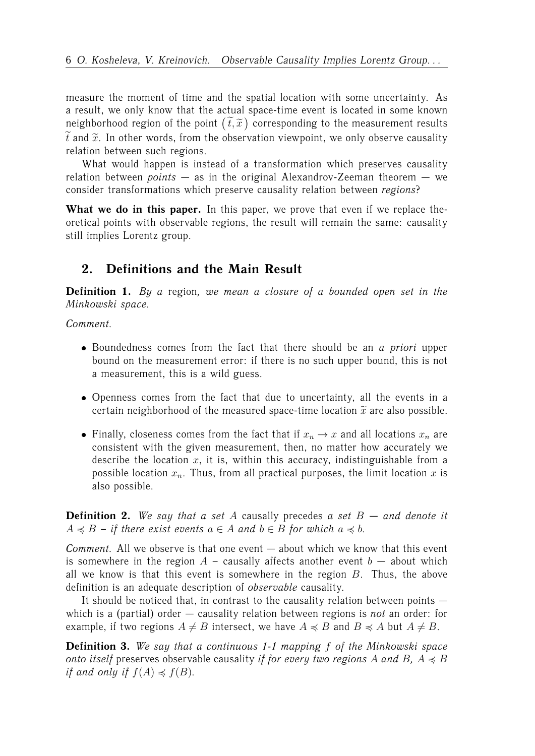measure the moment of time and the spatial location with some uncertainty. As a result, we only know that the actual space-time event is located in some known neighborhood region of the point  $(\tilde{t}, \tilde{x})$  corresponding to the measurement results  $\tilde{t}$  and  $\tilde{x}$ . In other words, from the observation viewpoint, we only observe causality relation between such regions.

What would happen is instead of a transformation which preserves causality relation between *points* — as in the original Alexandrov-Zeeman theorem — we consider transformations which preserve causality relation between *regions*?

**What we do in this paper.** In this paper, we prove that even if we replace theoretical points with observable regions, the result will remain the same: causality still implies Lorentz group.

## **2. Definitions and the Main Result**

**Definition 1.** *By a* region*, we mean a closure of a bounded open set in the Minkowski space.*

*Comment.*

- Boundedness comes from the fact that there should be an *a priori* upper bound on the measurement error: if there is no such upper bound, this is not a measurement, this is a wild guess.
- Openness comes from the fact that due to uncertainty, all the events in a certain neighborhood of the measured space-time location  $\tilde{x}$  are also possible.
- Finally, closeness comes from the fact that if  $x_n \to x$  and all locations  $x_n$  are consistent with the given measurement, then, no matter how accurately we describe the location  $x$ , it is, within this accuracy, indistinguishable from a possible location  $x_n$ . Thus, from all practical purposes, the limit location x is also possible.

**Definition 2.** *We say that a set* A causally precedes *a set* B *— and denote it*  $A \preccurlyeq B$  – if there exist events  $a \in A$  and  $b \in B$  for which  $a \preccurlyeq b$ .

*Comment.* All we observe is that one event — about which we know that this event is somewhere in the region  $A$  – causally affects another event  $b$  – about which all we know is that this event is somewhere in the region  $B$ . Thus, the above definition is an adequate description of *observable* causality.

It should be noticed that, in contrast to the causality relation between points which is a (partial) order — causality relation between regions is *not* an order: for example, if two regions  $A \neq B$  intersect, we have  $A \preccurlyeq B$  and  $B \preccurlyeq A$  but  $A \neq B$ .

**Definition 3.** *We say that a continuous 1-1 mapping* f *of the Minkowski space onto itself* preserves observable causality *if for every two regions* A *and* B,  $A \preccurlyeq B$ *if and only if*  $f(A) \preccurlyeq f(B)$ *.*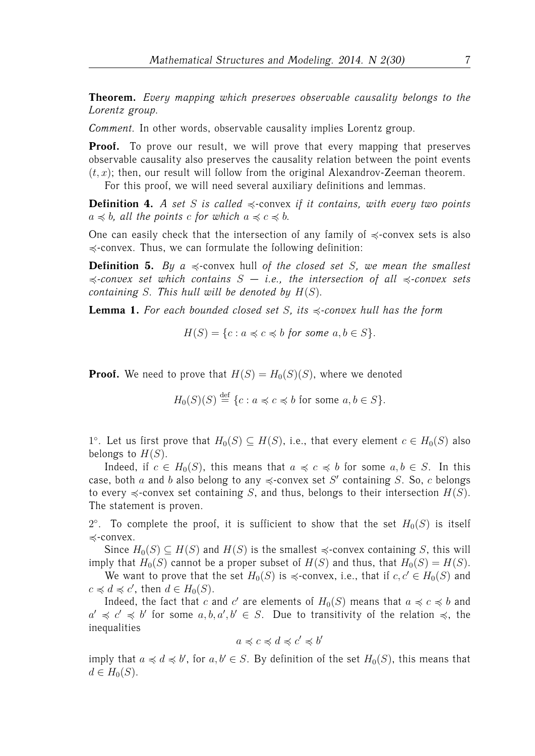**Theorem.** *Every mapping which preserves observable causality belongs to the Lorentz group.*

*Comment.* In other words, observable causality implies Lorentz group.

**Proof.** To prove our result, we will prove that every mapping that preserves observable causality also preserves the causality relation between the point events  $(t, x)$ ; then, our result will follow from the original Alexandrov-Zeeman theorem.

For this proof, we will need several auxiliary definitions and lemmas.

**Definition 4.** *A set S is called*  $\preccurlyeq$ -convex *if it contains, with every two points*  $a \preccurlyeq b$ , all the points c for which  $a \preccurlyeq c \preccurlyeq b$ .

One can easily check that the intersection of any family of  $\preccurlyeq$ -convex sets is also  $\preccurlyeq$ -convex. Thus, we can formulate the following definition:

**Definition 5.** *By a*  $\leq$ -convex hull *of the closed set S, we mean the smallest*  $\preccurlyeq$ -convex set which contains  $S - i.e.,$  the intersection of all  $\preccurlyeq$ -convex sets *containing* S*. This hull will be denoted by* H(S)*.*

**Lemma 1.** For each bounded closed set S, its  $\leq$ -convex hull has the form

$$
H(S) = \{c : a \preccurlyeq c \preccurlyeq b \text{ for some } a, b \in S\}.
$$

**Proof.** We need to prove that  $H(S) = H_0(S)(S)$ , where we denoted

$$
H_0(S)(S) \stackrel{\text{def}}{=} \{c : a \preccurlyeq c \preccurlyeq b \text{ for some } a, b \in S\}.
$$

1°. Let us first prove that  $H_0(S) \subseteq H(S)$ , i.e., that every element  $c \in H_0(S)$  also belongs to  $H(S)$ .

Indeed, if  $c \in H_0(S)$ , this means that  $a \preccurlyeq c \preccurlyeq b$  for some  $a, b \in S$ . In this case, both a and b also belong to any  $\preccurlyeq$ -convex set S' containing S. So, c belongs to every  $\preccurlyeq$ -convex set containing S, and thus, belongs to their intersection  $H(S)$ . The statement is proven.

2°. To complete the proof, it is sufficient to show that the set  $H_0(S)$  is itself 4-convex.

Since  $H_0(S) \subset H(S)$  and  $H(S)$  is the smallest  $\preccurlyeq$ -convex containing S, this will imply that  $H_0(S)$  cannot be a proper subset of  $H(S)$  and thus, that  $H_0(S) = H(S)$ .

We want to prove that the set  $H_0(S)$  is  $\preccurlyeq$ -convex, i.e., that if  $c, c' \in H_0(S)$  and  $c \preccurlyeq d \preccurlyeq c'$ , then  $d \in H_0(S)$ .

Indeed, the fact that  $c$  and  $c'$  are elements of  $H_0(S)$  means that  $a \preccurlyeq c \preccurlyeq b$  and  $a' \preccurlyeq c' \preccurlyeq b'$  for some  $a, b, a', b' \in S$ . Due to transitivity of the relation  $\preccurlyeq$ , the inequalities

$$
a \preccurlyeq c \preccurlyeq d \preccurlyeq c' \preccurlyeq b'
$$

imply that  $a \preccurlyeq d \preccurlyeq b'$ , for  $a, b' \in S$ . By definition of the set  $H_0(S)$ , this means that  $d \in H_0(S)$ .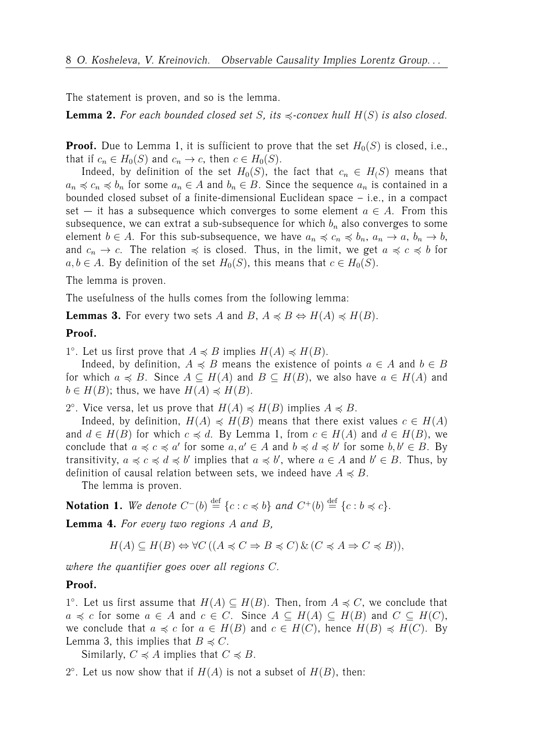The statement is proven, and so is the lemma.

**Lemma 2.** For each bounded closed set S, its  $\le$ -convex hull  $H(S)$  is also closed.

**Proof.** Due to Lemma 1, it is sufficient to prove that the set  $H_0(S)$  is closed, i.e., that if  $c_n \in H_0(S)$  and  $c_n \to c$ , then  $c \in H_0(S)$ .

Indeed, by definition of the set  $H_0(S)$ , the fact that  $c_n \in H(S)$  means that  $a_n \preccurlyeq c_n \preccurlyeq b_n$  for some  $a_n \in A$  and  $b_n \in B$ . Since the sequence  $a_n$  is contained in a bounded closed subset of a finite-dimensional Euclidean space – i.e., in a compact set — it has a subsequence which converges to some element  $a \in A$ . From this subsequence, we can extrat a sub-subsequence for which  $b_n$  also converges to some element  $b \in A$ . For this sub-subsequence, we have  $a_n \preccurlyeq c_n \preccurlyeq b_n$ ,  $a_n \to a$ ,  $b_n \to b$ , and  $c_n \to c$ . The relation  $\preccurlyeq$  is closed. Thus, in the limit, we get  $a \preccurlyeq c \preccurlyeq b$  for  $a, b \in A$ . By definition of the set  $H_0(S)$ , this means that  $c \in H_0(S)$ .

The lemma is proven.

The usefulness of the hulls comes from the following lemma:

**Lemmas 3.** For every two sets A and B,  $A \preccurlyeq B \Leftrightarrow H(A) \preccurlyeq H(B)$ .

#### **Proof.**

1°. Let us first prove that  $A \preccurlyeq B$  implies  $H(A) \preccurlyeq H(B)$ .

Indeed, by definition,  $A \preccurlyeq B$  means the existence of points  $a \in A$  and  $b \in B$ for which  $a \preccurlyeq B$ . Since  $A \subseteq H(A)$  and  $B \subseteq H(B)$ , we also have  $a \in H(A)$  and  $b \in H(B)$ ; thus, we have  $H(A) \preccurlyeq H(B)$ .

2°. Vice versa, let us prove that  $H(A) \preccurlyeq H(B)$  implies  $A \preccurlyeq B$ .

Indeed, by definition,  $H(A) \preccurlyeq H(B)$  means that there exist values  $c \in H(A)$ and  $d \in H(B)$  for which  $c \preccurlyeq d$ . By Lemma 1, from  $c \in H(A)$  and  $d \in H(B)$ , we conclude that  $a \preccurlyeq c \preccurlyeq a'$  for some  $a, a' \in A$  and  $b \preccurlyeq d \preccurlyeq b'$  for some  $b, b' \in B$ . By transitivity,  $a \preccurlyeq c \preccurlyeq d \preccurlyeq b'$  implies that  $a \preccurlyeq b'$ , where  $a \in A$  and  $b' \in B$ . Thus, by definition of causal relation between sets, we indeed have  $A \preccurlyeq B$ .

The lemma is proven.

**Notation 1.** We denote  $C^{-}(b) \stackrel{\text{def}}{=} \{c : c \preccurlyeq b\}$  and  $C^{+}(b) \stackrel{\text{def}}{=} \{c : b \preccurlyeq c\}.$ 

**Lemma 4.** *For every two regions* A *and* B*,*

 $H(A) \subseteq H(B) \Leftrightarrow \forall C \ ((A \preccurlyeq C \Rightarrow B \preccurlyeq C) \ \& \ (C \preccurlyeq A \Rightarrow C \preccurlyeq B)).$ 

*where the quantifier goes over all regions* C*.*

#### **Proof.**

1°. Let us first assume that  $H(A) \subseteq H(B)$ . Then, from  $A \preccurlyeq C$ , we conclude that  $a \preccurlyeq c$  for some  $a \in A$  and  $c \in C$ . Since  $A \subseteq H(A) \subseteq H(B)$  and  $C \subseteq H(C)$ , we conclude that  $a \preccurlyeq c$  for  $a \in H(B)$  and  $c \in H(C)$ , hence  $H(B) \preccurlyeq H(C)$ . By Lemma 3, this implies that  $B \preccurlyeq C$ .

Similarly,  $C \preccurlyeq A$  implies that  $C \preccurlyeq B$ .

 $2^{\circ}$ . Let us now show that if  $H(A)$  is not a subset of  $H(B)$ , then: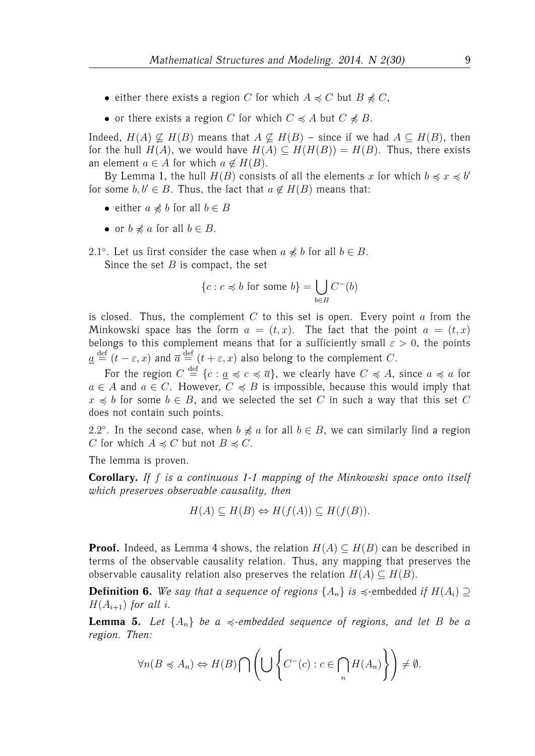- either there exists a region C for which  $A \preccurlyeq C$  but  $B \npreccurlyeq C$ ,
- or there exists a region C for which  $C \preccurlyeq A$  but  $C \npreccurlyeq B$ .

Indeed,  $H(A) \not\subset H(B)$  means that  $A \not\subset H(B)$  – since if we had  $A \subset H(B)$ , then for the hull  $H(A)$ , we would have  $H(A) \subseteq H(H(B)) = H(B)$ . Thus, there exists an element  $a \in A$  for which  $a \notin H(B)$ .

By Lemma 1, the hull  $H(B)$  consists of all the elements x for which  $b \preccurlyeq x \preccurlyeq b'$ for some  $b, b' \in B$ . Thus, the fact that  $a \notin H(B)$  means that:

- either  $a \nless b$  for all  $b \in B$
- or  $b \nless a$  for all  $b \in B$ .

2.1°. Let us first consider the case when  $a \nless b$  for all  $b \in B$ . Since the set  $B$  is compact, the set

$$
\{c : c \preccurlyeq b \text{ for some } b\} = \bigcup_{b \in B} C^-(b)
$$

is closed. Thus, the complement  $C$  to this set is open. Every point  $a$  from the Minkowski space has the form  $a = (t, x)$ . The fact that the point  $a = (t, x)$ belongs to this complement means that for a sufficiently small  $\varepsilon > 0$ , the points  $\underline{a} \stackrel{\text{def}}{=} (t - \varepsilon, x)$  and  $\overline{a} \stackrel{\text{def}}{=} (t + \varepsilon, x)$  also belong to the complement  $C$ .

For the region  $C \stackrel{\text{def}}{=} \{c : \underline{a} \preccurlyeq c \preccurlyeq \overline{a}\}$ , we clearly have  $C \preccurlyeq A$ , since  $a \preccurlyeq a$  for  $a \in A$  and  $a \in C$ . However,  $C \preccurlyeq B$  is impossible, because this would imply that  $x \preccurlyeq b$  for some  $b \in B$ , and we selected the set C in such a way that this set C does not contain such points.

2.2°. In the second case, when  $b \nleq a$  for all  $b \in B$ , we can similarly find a region C for which  $A \preccurlyeq C$  but not  $B \preccurlyeq C$ .

The lemma is proven.

**Corollary.** *If* f *is a continuous 1-1 mapping of the Minkowski space onto itself which preserves observable causality, then*

$$
H(A) \subseteq H(B) \Leftrightarrow H(f(A)) \subseteq H(f(B)).
$$

**Proof.** Indeed, as Lemma 4 shows, the relation  $H(A) \subseteq H(B)$  can be described in terms of the observable causality relation. Thus, any mapping that preserves the observable causality relation also preserves the relation  $H(A) \subseteq H(B)$ .

**Definition 6.** *We say that a sequence of regions*  $\{A_n\}$  *is*  $\preccurlyeq$ -embedded *if*  $H(A_i)$  ⊇  $H(A_{i+1})$  *for all i.* 

**Lemma 5.** Let  $\{A_n\}$  be a  $\preccurlyeq$ -embedded sequence of regions, and let B be a *region. Then:*

$$
\forall n(B \preccurlyeq A_n) \Leftrightarrow H(B) \bigcap \left( \bigcup \left\{ C^-(c) : c \in \bigcap_n H(A_n) \right\} \right) \neq \emptyset.
$$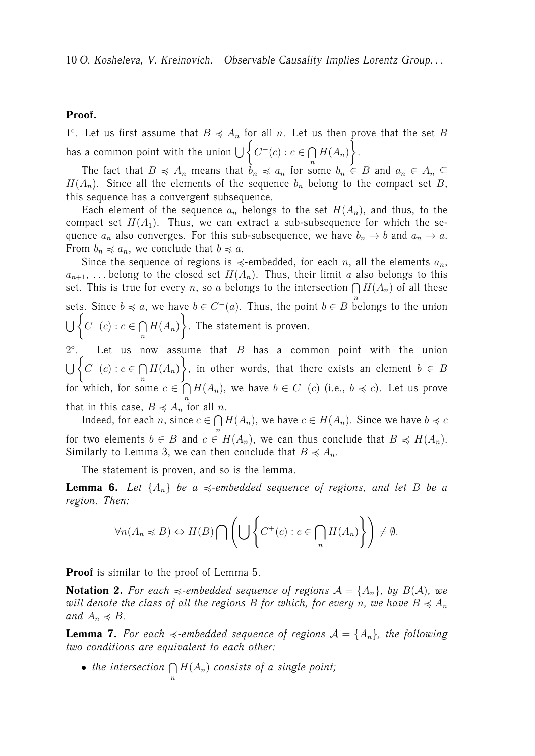### **Proof.**

1°. Let us first assume that  $B \preccurlyeq A_n$  for all n. Let us then prove that the set B has a common point with the union  $\bigcup \Big\{$  $C^-(c): c \in \bigcap$  $H(A_n)$  $\mathcal{L}$ .

n The fact that  $B \preccurlyeq A_n$  means that  $\hat{b}_n \preccurlyeq a_n$  for some  $b_n \in B$  and  $a_n \in A_n \subseteq B$  $H(A_n)$ . Since all the elements of the sequence  $b_n$  belong to the compact set B, this sequence has a convergent subsequence.

Each element of the sequence  $a_n$  belongs to the set  $H(A_n)$ , and thus, to the compact set  $H(A_1)$ . Thus, we can extract a sub-subsequence for which the sequence  $a_n$  also converges. For this sub-subsequence, we have  $b_n \to b$  and  $a_n \to a$ . From  $b_n \preccurlyeq a_n$ , we conclude that  $b \preccurlyeq a$ .

Since the sequence of regions is  $\preccurlyeq$ -embedded, for each n, all the elements  $a_n$ ,  $a_{n+1}$ , ... belong to the closed set  $H(A_n)$ . Thus, their limit a also belongs to this set. This is true for every  $n,$  so  $a$  belongs to the intersection  $\bigcap H(A_n)$  of all these sets. Since  $b \preccurlyeq a$ , we have  $b \in C^-(a)$ . Thus, the point  $b \in B$  belongs to the union U{  $C^-(c): c \in \bigcap$ n  $H(A_n)$  $\mathcal{L}$ . The statement is proven.

 $2^\circ$ . Let us now assume that  $B$  has a common point with the union  $\cup$  $C^-(c): c \in \bigcap$ n  $H(A_n)$  $\mathcal{L}$ , in other words, that there exists an element  $b \in B$ for which, for some  $c \in \bigcap H(A_n)$ , we have  $b \in C^-(c)$  (i.e.,  $b \preccurlyeq c$ ). Let us prove that in this case,  $B \preccurlyeq A_n$  for all n.

Indeed, for each *n*, since  $c \in \bigcap H(A_n)$ , we have  $c \in H(A_n)$ . Since we have  $b \preccurlyeq c$ for two elements  $b \in B$  and  $c \in H(A_n)$ , we can thus conclude that  $B \preccurlyeq H(A_n)$ . Similarly to Lemma 3, we can then conclude that  $B \preccurlyeq A_n$ .

The statement is proven, and so is the lemma.

**Lemma 6.** Let  $\{A_n\}$  be a  $\preccurlyeq$ -embedded sequence of regions, and let B be a *region. Then:*

$$
\forall n(A_n \preccurlyeq B) \Leftrightarrow H(B) \bigcap \left( \bigcup \left\{ C^+(c) : c \in \bigcap_n H(A_n) \right\} \right) \neq \emptyset.
$$

**Proof** is similar to the proof of Lemma 5.

**Notation 2.** For each  $\preccurlyeq$ -embedded sequence of regions  $A = \{A_n\}$ , by  $B(A)$ , we *will denote the class of all the regions* B for which, for every n, we have  $B \preccurlyeq A_n$ and  $A_n \preccurlyeq B$ .

**Lemma 7.** For each  $\preccurlyeq$ -embedded sequence of regions  $A = \{A_n\}$ , the following *two conditions are equivalent to each other:*

• the intersection  $\bigcap$ n H(An) *consists of a single point;*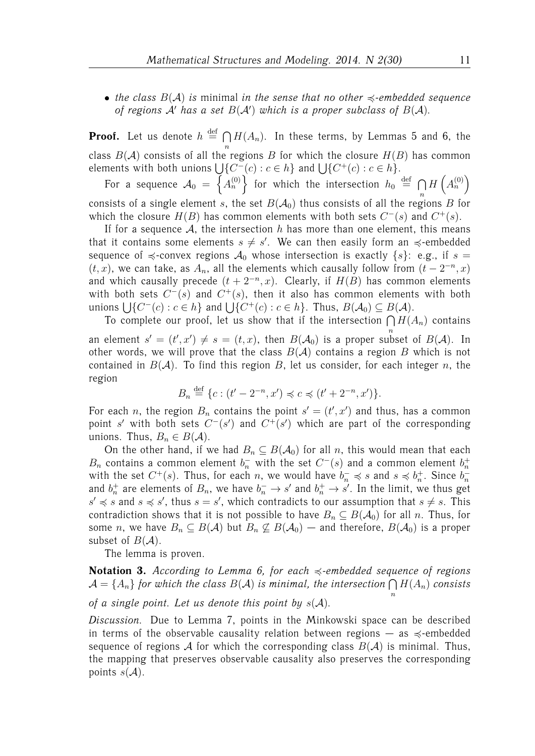• the class  $B(A)$  *is* minimal *in the sense that no other*  $\preccurlyeq$ -embedded sequence *of regions*  $A'$  *has a set*  $B(A')$  *which is a proper subclass of*  $B(A)$ *.* 

**Proof.** Let us denote  $h \stackrel{\text{def}}{=} \bigcap H(A_n)$ . In these terms, by Lemmas 5 and 6, the class  $B(\mathcal{A})$  consists of all the regions  $B$  for which the closure  $H(B)$  has common elements with both unions  $\bigcup \{C^-(c) : c \in h\}$  and  $\bigcup \{C^+(c) : c \in h\}.$ 

For a sequence  $\mathcal{A}_0 = \{A_n^{(0)}\}$  for which the intersection  $h_0 \stackrel{\text{def}}{=} \bigcap H\left(A_n^{(0)}\right)$ consists of a single element s, the set  $B(A_0)$  thus consists of all the regions B for which the closure  $H(B)$  has common elements with both sets  $C^-(s)$  and  $C^+(s)$ .

If for a sequence A, the intersection h has more than one element, this means that it contains some elements  $s \neq s'$ . We can then easily form an  $\preccurlyeq$ -embedded sequence of  $\preccurlyeq$ -convex regions  $\mathcal{A}_0$  whose intersection is exactly  $\{s\}$ : e.g., if  $s =$  $(t, x)$ , we can take, as  $A_n$ , all the elements which causally follow from  $(t - 2^{-n}, x)$ and which causally precede  $(t + 2^{-n}, x)$ . Clearly, if  $H(B)$  has common elements with both sets  $C^-(s)$  and  $C^+(s)$ , then it also has common elements with both unions  $\bigcup \{C^-(c) : c \in h\}$  and  $\bigcup \{C^+(c) : c \in h\}$ . Thus,  $B(\mathcal{A}_0) \subseteq B(\mathcal{A})$ .

To complete our proof, let us show that if the intersection  $\bigcap H(A_n)$  contains n an element  $s' = (t', x') \neq s = (t, x)$ , then  $B(A_0)$  is a proper subset of  $B(A)$ . In other words, we will prove that the class  $B(A)$  contains a region B which is not contained in  $B(A)$ . To find this region B, let us consider, for each integer n, the region

$$
B_n \stackrel{\text{def}}{=} \{c : (t'-2^{-n}, x') \preccurlyeq c \preccurlyeq (t'+2^{-n}, x')\}.
$$

For each *n*, the region  $B_n$  contains the point  $s' = (t', x')$  and thus, has a common point s' with both sets  $C^-(s')$  and  $C^+(s')$  which are part of the corresponding unions. Thus,  $B_n \in B(A)$ .

On the other hand, if we had  $B_n \subseteq B(A_0)$  for all n, this would mean that each  $B_n$  contains a common element  $b_n^-$  with the set  $C^-(s)$  and a common element  $b_n^+$ with the set  $C^+(s)$ . Thus, for each n, we would have  $b_n^- \preccurlyeq s$  and  $s \preccurlyeq b_n^+$ . Since  $b_n^$ and  $b_n^+$  are elements of  $B_n$ , we have  $b_n^- \to s'$  and  $b_n^+ \to s'$ . In the limit, we thus get  $s' \preccurlyeq s$  and  $s \preccurlyeq s'$ , thus  $s = s'$ , which contradicts to our assumption that  $s \neq s$ . This contradiction shows that it is not possible to have  $B_n \subseteq B(A_0)$  for all n. Thus, for some n, we have  $B_n \subseteq B(\mathcal{A})$  but  $B_n \not\subseteq B(\mathcal{A}_0)$  — and therefore,  $B(\mathcal{A}_0)$  is a proper subset of  $B(A)$ .

The lemma is proven.

**Notation 3.** *According to Lemma 6, for each*  $\leq$ -embedded sequence of regions  $\mathcal{A} = \{A_n\}$  for which the class  $B(\mathcal{A})$  is minimal, the intersection  $\bigcap H(A_n)$  consists n *of a single point. Let us denote this point by* s(A)*.*

*Discussion.* Due to Lemma 7, points in the Minkowski space can be described in terms of the observable causality relation between regions  $-$  as  $\preccurlyeq$ -embedded sequence of regions A for which the corresponding class  $B(A)$  is minimal. Thus, the mapping that preserves observable causality also preserves the corresponding points  $s(\mathcal{A})$ .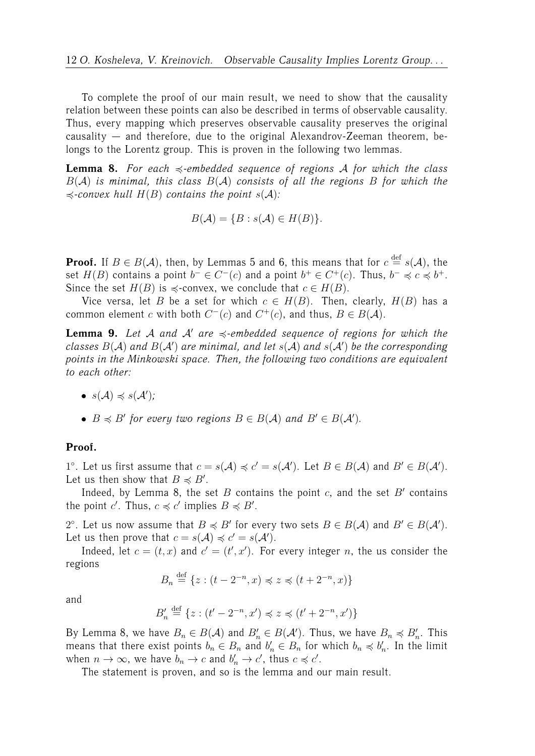To complete the proof of our main result, we need to show that the causality relation between these points can also be described in terms of observable causality. Thus, every mapping which preserves observable causality preserves the original causality — and therefore, due to the original Alexandrov-Zeeman theorem, belongs to the Lorentz group. This is proven in the following two lemmas.

**Lemma 8.** For each  $\leq$ -embedded sequence of regions A for which the class B(A) *is minimal, this class* B(A) *consists of all the regions* B *for which the*  $\preccurlyeq$ -convex hull  $H(B)$  contains the point  $s(A)$ :

$$
B(\mathcal{A}) = \{ B : s(\mathcal{A}) \in H(B) \}.
$$

**Proof.** If  $B \in B(\mathcal{A})$ , then, by Lemmas 5 and 6, this means that for  $c \stackrel{\text{def}}{=} s(\mathcal{A})$ , the set  $H(B)$  contains a point  $b^- \in C^-(c)$  and a point  $b^+ \in C^+(c)$ . Thus,  $b^- \preccurlyeq c \preccurlyeq b^+$ . Since the set  $H(B)$  is  $\preccurlyeq$ -convex, we conclude that  $c \in H(B)$ .

Vice versa, let B be a set for which  $c \in H(B)$ . Then, clearly,  $H(B)$  has a common element c with both  $C^{-}(c)$  and  $C^{+}(c)$ , and thus,  $B \in B(A)$ .

**Lemma 9.** Let A and A' are  $\le$ -embedded sequence of regions for which the *classes*  $B(A)$  and  $B(A')$  are minimal, and let  $s(A)$  and  $s(A')$  be the corresponding *points in the Minkowski space. Then, the following two conditions are equivalent to each other:*

- $s(\mathcal{A}) \preccurlyeq s(\mathcal{A}');$
- $B \preccurlyeq B'$  for every two regions  $B \in B(\mathcal{A})$  and  $B' \in B(\mathcal{A}')$ .

### **Proof.**

1°. Let us first assume that  $c = s(A) \preccurlyeq c' = s(A')$ . Let  $B \in B(A)$  and  $B' \in B(A')$ . Let us then show that  $B \preccurlyeq B'$ .

Indeed, by Lemma 8, the set  $B$  contains the point  $c$ , and the set  $B'$  contains the point c'. Thus,  $c \preccurlyeq c'$  implies  $B \preccurlyeq B'$ .

2°. Let us now assume that  $B \preccurlyeq B'$  for every two sets  $B \in B(\mathcal{A})$  and  $B' \in B(\mathcal{A}')$ . Let us then prove that  $c = s(A) \preccurlyeq c' = s(A')$ .

Indeed, let  $c = (t, x)$  and  $c' = (t', x')$ . For every integer n, the us consider the regions

$$
B_n \stackrel{\text{def}}{=} \{ z : (t - 2^{-n}, x) \preccurlyeq z \preccurlyeq (t + 2^{-n}, x) \}
$$

and

$$
B'_n \stackrel{\text{def}}{=} \{ z : (t' - 2^{-n}, x') \preccurlyeq z \preccurlyeq (t' + 2^{-n}, x') \}
$$

By Lemma 8, we have  $B_n \in B(\mathcal{A})$  and  $B'_n \in B(\mathcal{A}')$ . Thus, we have  $B_n \preccurlyeq B'_n$ . This means that there exist points  $b_n \in B_n$  and  $b'_n \in B_n$  for which  $b_n \preccurlyeq b'_n$ . In the limit when  $n \to \infty$ , we have  $b_n \to c$  and  $b'_n \to c'$ , thus  $c \preccurlyeq c'$ .

The statement is proven, and so is the lemma and our main result.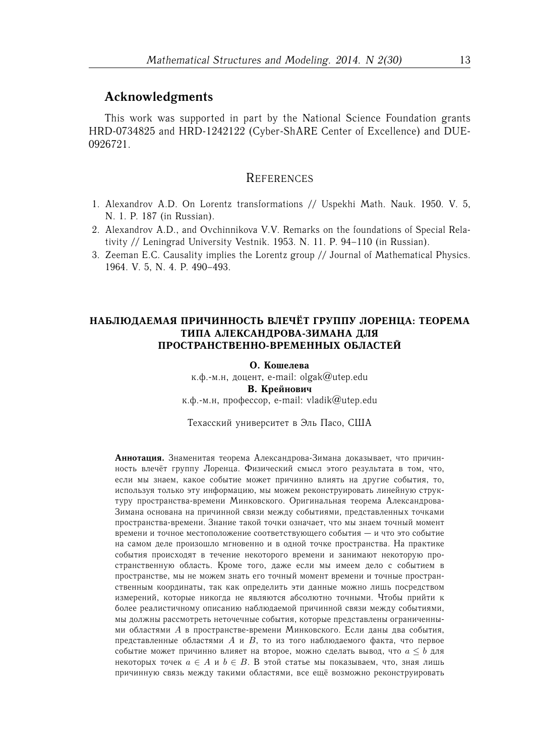## **Acknowledgments**

This work was supported in part by the National Science Foundation grants HRD-0734825 and HRD-1242122 (Cyber-ShARE Center of Excellence) and DUE-0926721.

## **REFERENCES**

- 1. Alexandrov A.D. On Lorentz transformations // Uspekhi Math. Nauk. 1950. V. 5, N. 1. P. 187 (in Russian).
- 2. Alexandrov A.D., and Ovchinnikova V.V. Remarks on the foundations of Special Relativity // Leningrad University Vestnik. 1953. N. 11. P. 94–110 (in Russian).
- 3. Zeeman E.C. Causality implies the Lorentz group // Journal of Mathematical Physics. 1964. V. 5, N. 4. P. 490–493.

### **НАБЛЮДАЕМАЯ ПРИЧИННОСТЬ ВЛЕЧЁТ ГРУППУ ЛОРЕНЦА: ТЕОРЕМА ТИПА АЛЕКСАНДРОВА-ЗИМАНА ДЛЯ ПРОСТРАНСТВЕННО-ВРЕМЕННЫХ ОБЛАСТЕЙ**

#### **О. Кошелева**

к.ф.-м.н, доцент, e-mail: olgak@utep.edu **В. Крейнович**

## к.ф.-м.н, профессор, e-mail: vladik@utep.edu

Техасский университет в Эль Пасо, США

**Аннотация.** Знаменитая теорема Александрова-Зимана доказывает, что причинность влечёт группу Лоренца. Физический смысл этого результата в том, что, если мы знаем, какое событие может причинно влиять на другие события, то, используя только эту информацию, мы можем реконструировать линейную структуру пространства-времени Минковского. Оригинальная теорема Александрова-Зимана основана на причинной связи между событиями, представленных точками пространства-времени. Знание такой точки означает, что мы знаем точный момент времени и точное местоположение соответствующего события — и что это событие на самом деле произошло мгновенно и в одной точке пространства. На практике события происходят в течение некоторого времени и занимают некоторую пространственную область. Кроме того, даже если мы имеем дело с событием в пространстве, мы не можем знать его точный момент времени и точные пространственным координаты, так как определить эти данные можно лишь посредством измерений, которые никогда не являются абсолютно точными. Чтобы прийти к более реалистичному описанию наблюдаемой причинной связи между событиями, мы должны рассмотреть неточечные события, которые представлены ограниченными областями  $A$  в пространстве-времени Минковского. Если даны два события, представленные областями  $A$  и  $B$ , то из того наблюдаемого факта, что первое событие может причинно влияет на второе, можно сделать вывод, что  $a \leq b$  для некоторых точек  $a \in A$  и  $b \in B$ . В этой статье мы показываем, что, зная лишь причинную связь между такими областями, все ещё возможно реконструировать